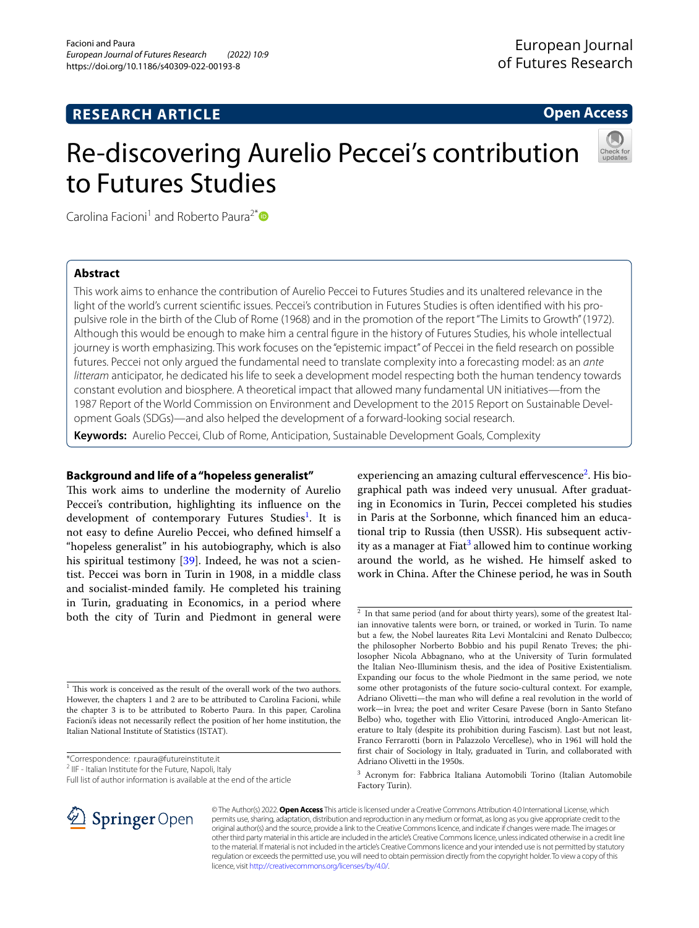# **RESEARCH ARTICLE**

**Open Access**

# Re-discovering Aurelio Peccei's contribution to Futures Studies



Carolina Facioni<sup>1</sup> and Roberto Paura<sup>2[\\*](http://orcid.org/0000-0002-0246-4920)</sup>

# **Abstract**

This work aims to enhance the contribution of Aurelio Peccei to Futures Studies and its unaltered relevance in the light of the world's current scientific issues. Peccei's contribution in Futures Studies is often identified with his propulsive role in the birth of the Club of Rome (1968) and in the promotion of the report "The Limits to Growth" (1972). Although this would be enough to make him a central fgure in the history of Futures Studies, his whole intellectual journey is worth emphasizing. This work focuses on the "epistemic impact" of Peccei in the feld research on possible futures. Peccei not only argued the fundamental need to translate complexity into a forecasting model: as an *ante litteram* anticipator, he dedicated his life to seek a development model respecting both the human tendency towards constant evolution and biosphere. A theoretical impact that allowed many fundamental UN initiatives—from the 1987 Report of the World Commission on Environment and Development to the 2015 Report on Sustainable Development Goals (SDGs)—and also helped the development of a forward-looking social research.

**Keywords:** Aurelio Peccei, Club of Rome, Anticipation, Sustainable Development Goals, Complexity

# **Background and life of a "hopeless generalist"**

This work aims to underline the modernity of Aurelio Peccei's contribution, highlighting its infuence on the development of contemporary Futures Studies<sup>1</sup>. It is not easy to defne Aurelio Peccei, who defned himself a "hopeless generalist" in his autobiography, which is also his spiritual testimony [\[39](#page-5-0)]. Indeed, he was not a scientist. Peccei was born in Turin in 1908, in a middle class and socialist-minded family. He completed his training in Turin, graduating in Economics, in a period where both the city of Turin and Piedmont in general were

<span id="page-0-0"></span> $^{\rm 1}$  This work is conceived as the result of the overall work of the two authors. However, the chapters 1 and 2 are to be attributed to Carolina Facioni, while the chapter 3 is to be attributed to Roberto Paura. In this paper, Carolina Facioni's ideas not necessarily refect the position of her home institution, the Italian National Institute of Statistics (ISTAT).

\*Correspondence: r.paura@futureinstitute.it

<sup>2</sup> IIF - Italian Institute for the Future, Napoli, Italy

experiencing an amazing cultural effervescence<sup>[2](#page-0-1)</sup>. His biographical path was indeed very unusual. After graduating in Economics in Turin, Peccei completed his studies in Paris at the Sorbonne, which fnanced him an educational trip to Russia (then USSR). His subsequent activ-ity as a manager at Fiat<sup>[3](#page-0-2)</sup> allowed him to continue working around the world, as he wished. He himself asked to work in China. After the Chinese period, he was in South



© The Author(s) 2022. **Open Access** This article is licensed under a Creative Commons Attribution 4.0 International License, which permits use, sharing, adaptation, distribution and reproduction in any medium or format, as long as you give appropriate credit to the original author(s) and the source, provide a link to the Creative Commons licence, and indicate if changes were made. The images or other third party material in this article are included in the article's Creative Commons licence, unless indicated otherwise in a credit line to the material. If material is not included in the article's Creative Commons licence and your intended use is not permitted by statutory regulation or exceeds the permitted use, you will need to obtain permission directly from the copyright holder. To view a copy of this licence, visit [http://creativecommons.org/licenses/by/4.0/.](http://creativecommons.org/licenses/by/4.0/)

Full list of author information is available at the end of the article

<span id="page-0-1"></span> $\frac{2}{1}$  In that same period (and for about thirty years), some of the greatest Italian innovative talents were born, or trained, or worked in Turin. To name but a few, the Nobel laureates Rita Levi Montalcini and Renato Dulbecco; the philosopher Norberto Bobbio and his pupil Renato Treves; the philosopher Nicola Abbagnano, who at the University of Turin formulated the Italian Neo-Illuminism thesis, and the idea of Positive Existentialism. Expanding our focus to the whole Piedmont in the same period, we note some other protagonists of the future socio-cultural context. For example, Adriano Olivetti—the man who will defne a real revolution in the world of work—in Ivrea; the poet and writer Cesare Pavese (born in Santo Stefano Belbo) who, together with Elio Vittorini, introduced Anglo-American literature to Italy (despite its prohibition during Fascism). Last but not least, Franco Ferrarotti (born in Palazzolo Vercellese), who in 1961 will hold the frst chair of Sociology in Italy, graduated in Turin, and collaborated with Adriano Olivetti in the 1950s.

<span id="page-0-2"></span><sup>&</sup>lt;sup>3</sup> Acronym for: Fabbrica Italiana Automobili Torino (Italian Automobile Factory Turin).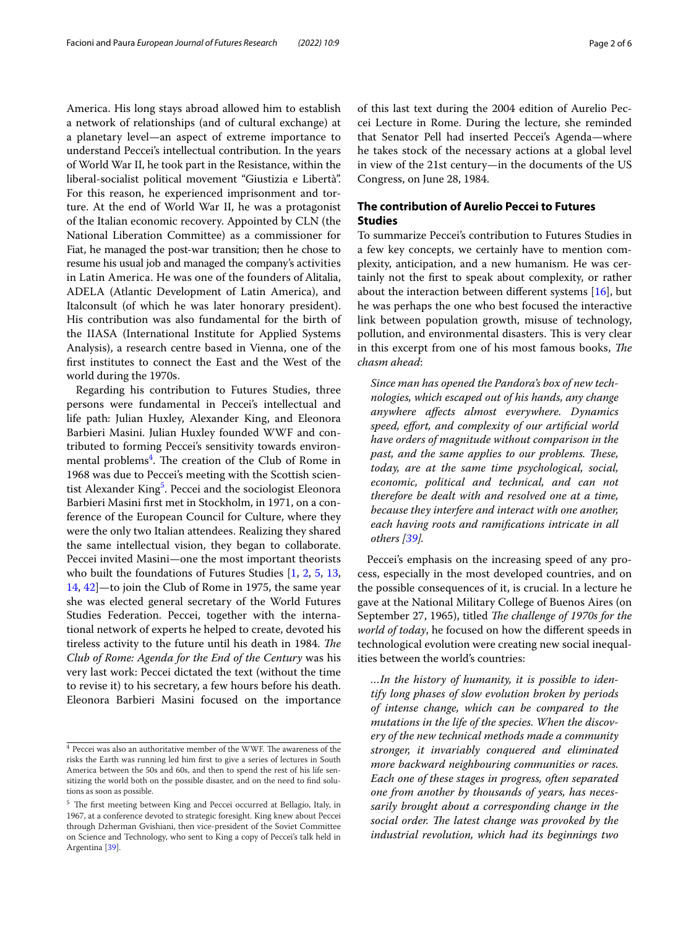America. His long stays abroad allowed him to establish a network of relationships (and of cultural exchange) at a planetary level—an aspect of extreme importance to understand Peccei's intellectual contribution. In the years of World War II, he took part in the Resistance, within the liberal-socialist political movement "Giustizia e Libertà". For this reason, he experienced imprisonment and torture. At the end of World War II, he was a protagonist of the Italian economic recovery. Appointed by CLN (the National Liberation Committee) as a commissioner for Fiat, he managed the post-war transition; then he chose to resume his usual job and managed the company's activities in Latin America. He was one of the founders of Alitalia, ADELA (Atlantic Development of Latin America), and Italconsult (of which he was later honorary president). His contribution was also fundamental for the birth of the IIASA (International Institute for Applied Systems Analysis), a research centre based in Vienna, one of the frst institutes to connect the East and the West of the world during the 1970s.

Regarding his contribution to Futures Studies, three persons were fundamental in Peccei's intellectual and life path: Julian Huxley, Alexander King, and Eleonora Barbieri Masini. Julian Huxley founded WWF and contributed to forming Peccei's sensitivity towards environ-mental problems<sup>[4](#page-1-0)</sup>. The creation of the Club of Rome in 1968 was due to Peccei's meeting with the Scottish scien-tist Alexander King<sup>[5](#page-1-1)</sup>. Peccei and the sociologist Eleonora Barbieri Masini frst met in Stockholm, in 1971, on a conference of the European Council for Culture, where they were the only two Italian attendees. Realizing they shared the same intellectual vision, they began to collaborate. Peccei invited Masini—one the most important theorists who built the foundations of Futures Studies [[1,](#page-4-0) [2](#page-4-1), [5](#page-4-2), [13](#page-5-1), [14,](#page-5-2) [42](#page-5-3)]—to join the Club of Rome in 1975, the same year she was elected general secretary of the World Futures Studies Federation. Peccei, together with the international network of experts he helped to create, devoted his tireless activity to the future until his death in 1984. The *Club of Rome: Agenda for the End of the Century* was his very last work: Peccei dictated the text (without the time to revise it) to his secretary, a few hours before his death. Eleonora Barbieri Masini focused on the importance

of this last text during the 2004 edition of Aurelio Peccei Lecture in Rome. During the lecture, she reminded that Senator Pell had inserted Peccei's Agenda—where he takes stock of the necessary actions at a global level in view of the 21st century—in the documents of the US Congress, on June 28, 1984.

# **The contribution of Aurelio Peccei to Futures Studies**

To summarize Peccei's contribution to Futures Studies in a few key concepts, we certainly have to mention complexity, anticipation, and a new humanism. He was certainly not the frst to speak about complexity, or rather about the interaction between different systems  $[16]$  $[16]$ , but he was perhaps the one who best focused the interactive link between population growth, misuse of technology, pollution, and environmental disasters. This is very clear in this excerpt from one of his most famous books, *Te chasm ahead*:

*Since man has opened the Pandora's box of new technologies, which escaped out of his hands, any change anywhere afects almost everywhere. Dynamics speed, efort, and complexity of our artifcial world have orders of magnitude without comparison in the past, and the same applies to our problems. These, today, are at the same time psychological, social, economic, political and technical, and can not therefore be dealt with and resolved one at a time, because they interfere and interact with one another, each having roots and ramifcations intricate in all others [\[39\]](#page-5-0).*

Peccei's emphasis on the increasing speed of any process, especially in the most developed countries, and on the possible consequences of it, is crucial. In a lecture he gave at the National Military College of Buenos Aires (on September 27, 1965), titled *The challenge of 1970s for the world of today*, he focused on how the diferent speeds in technological evolution were creating new social inequalities between the world's countries:

*…In the history of humanity, it is possible to identify long phases of slow evolution broken by periods of intense change, which can be compared to the mutations in the life of the species. When the discovery of the new technical methods made a community stronger, it invariably conquered and eliminated more backward neighbouring communities or races. Each one of these stages in progress, often separated one from another by thousands of years, has necessarily brought about a corresponding change in the*  social order. The latest change was provoked by the *industrial revolution, which had its beginnings two* 

<span id="page-1-0"></span> $4$  Peccei was also an authoritative member of the WWF. The awareness of the risks the Earth was running led him frst to give a series of lectures in South America between the 50s and 60s, and then to spend the rest of his life sensitizing the world both on the possible disaster, and on the need to fnd solutions as soon as possible.

<span id="page-1-1"></span><sup>&</sup>lt;sup>5</sup> The first meeting between King and Peccei occurred at Bellagio, Italy, in 1967, at a conference devoted to strategic foresight. King knew about Peccei through Dzherman Gvishiani, then vice-president of the Soviet Committee on Science and Technology, who sent to King a copy of Peccei's talk held in Argentina [[39](#page-5-0)].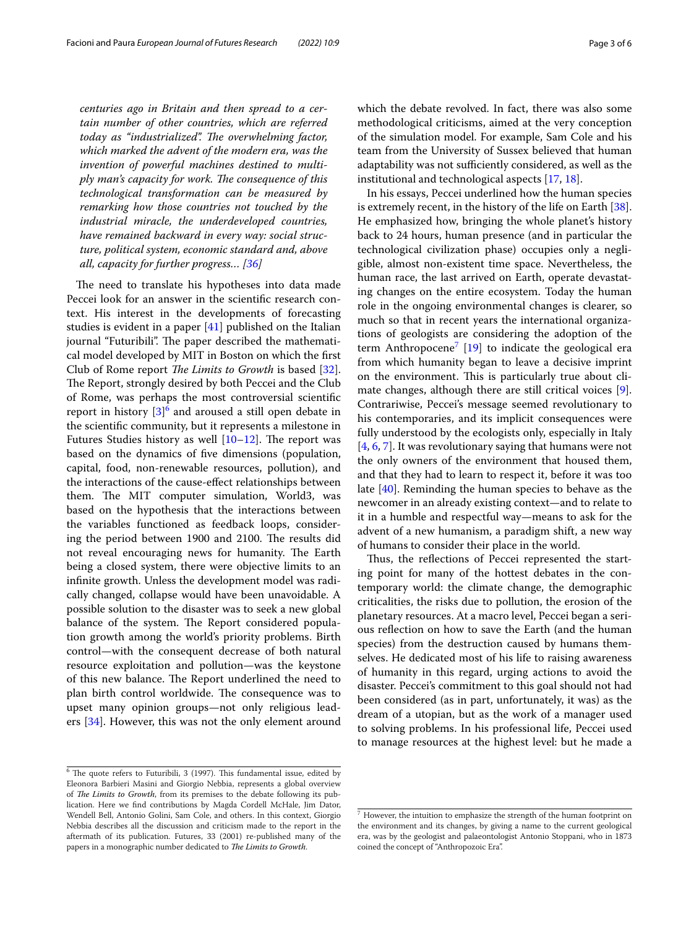*centuries ago in Britain and then spread to a certain number of other countries, which are referred today as "industrialized". The overwhelming factor, which marked the advent of the modern era, was the invention of powerful machines destined to multiply man's capacity for work. The consequence of this technological transformation can be measured by remarking how those countries not touched by the industrial miracle, the underdeveloped countries, have remained backward in every way: social structure, political system, economic standard and, above all, capacity for further progress… [\[36](#page-5-5)]*

The need to translate his hypotheses into data made Peccei look for an answer in the scientifc research context. His interest in the developments of forecasting studies is evident in a paper [\[41\]](#page-5-6) published on the Italian journal "Futuribili". The paper described the mathematical model developed by MIT in Boston on which the frst Club of Rome report *The Limits to Growth* is based [\[32](#page-5-7)]. The Report, strongly desired by both Peccei and the Club of Rome, was perhaps the most controversial scientifc report in history [[3\]](#page-4-3)<sup>[6](#page-2-0)</sup> and aroused a still open debate in the scientifc community, but it represents a milestone in Futures Studies history as well  $[10-12]$  $[10-12]$ . The report was based on the dynamics of fve dimensions (population, capital, food, non-renewable resources, pollution), and the interactions of the cause-efect relationships between them. The MIT computer simulation, World3, was based on the hypothesis that the interactions between the variables functioned as feedback loops, considering the period between 1900 and 2100. The results did not reveal encouraging news for humanity. The Earth being a closed system, there were objective limits to an infnite growth. Unless the development model was radically changed, collapse would have been unavoidable. A possible solution to the disaster was to seek a new global balance of the system. The Report considered population growth among the world's priority problems. Birth control—with the consequent decrease of both natural resource exploitation and pollution—was the keystone of this new balance. The Report underlined the need to plan birth control worldwide. The consequence was to upset many opinion groups—not only religious leaders [[34\]](#page-5-9). However, this was not the only element around

which the debate revolved. In fact, there was also some methodological criticisms, aimed at the very conception of the simulation model. For example, Sam Cole and his team from the University of Sussex believed that human adaptability was not sufficiently considered, as well as the institutional and technological aspects [\[17,](#page-5-10) [18](#page-5-11)].

In his essays, Peccei underlined how the human species is extremely recent, in the history of the life on Earth [\[38](#page-5-12)]. He emphasized how, bringing the whole planet's history back to 24 hours, human presence (and in particular the technological civilization phase) occupies only a negligible, almost non-existent time space. Nevertheless, the human race, the last arrived on Earth, operate devastating changes on the entire ecosystem. Today the human role in the ongoing environmental changes is clearer, so much so that in recent years the international organizations of geologists are considering the adoption of the term Anthropocene<sup>[7](#page-2-1)</sup> [\[19\]](#page-5-13) to indicate the geological era from which humanity began to leave a decisive imprint on the environment. This is particularly true about climate changes, although there are still critical voices [\[9](#page-4-5)]. Contrariwise, Peccei's message seemed revolutionary to his contemporaries, and its implicit consequences were fully understood by the ecologists only, especially in Italy [[4,](#page-4-6) [6](#page-4-7), [7](#page-4-8)]. It was revolutionary saying that humans were not the only owners of the environment that housed them, and that they had to learn to respect it, before it was too late [[40](#page-5-14)]. Reminding the human species to behave as the newcomer in an already existing context—and to relate to it in a humble and respectful way—means to ask for the advent of a new humanism, a paradigm shift, a new way of humans to consider their place in the world.

Thus, the reflections of Peccei represented the starting point for many of the hottest debates in the contemporary world: the climate change, the demographic criticalities, the risks due to pollution, the erosion of the planetary resources. At a macro level, Peccei began a serious refection on how to save the Earth (and the human species) from the destruction caused by humans themselves. He dedicated most of his life to raising awareness of humanity in this regard, urging actions to avoid the disaster. Peccei's commitment to this goal should not had been considered (as in part, unfortunately, it was) as the dream of a utopian, but as the work of a manager used to solving problems. In his professional life, Peccei used to manage resources at the highest level: but he made a

<span id="page-2-0"></span> $6$  The quote refers to Futuribili, 3 (1997). This fundamental issue, edited by Eleonora Barbieri Masini and Giorgio Nebbia, represents a global overview of *The Limits to Growth*, from its premises to the debate following its publication. Here we fnd contributions by Magda Cordell McHale, Jim Dator, Wendell Bell, Antonio Golini, Sam Cole, and others. In this context, Giorgio Nebbia describes all the discussion and criticism made to the report in the aftermath of its publication. Futures, 33 (2001) re-published many of the papers in a monographic number dedicated to *The Limits to Growth*.

<span id="page-2-1"></span> $<sup>7</sup>$  However, the intuition to emphasize the strength of the human footprint on</sup> the environment and its changes, by giving a name to the current geological era, was by the geologist and palaeontologist Antonio Stoppani, who in 1873 coined the concept of "Anthropozoic Era".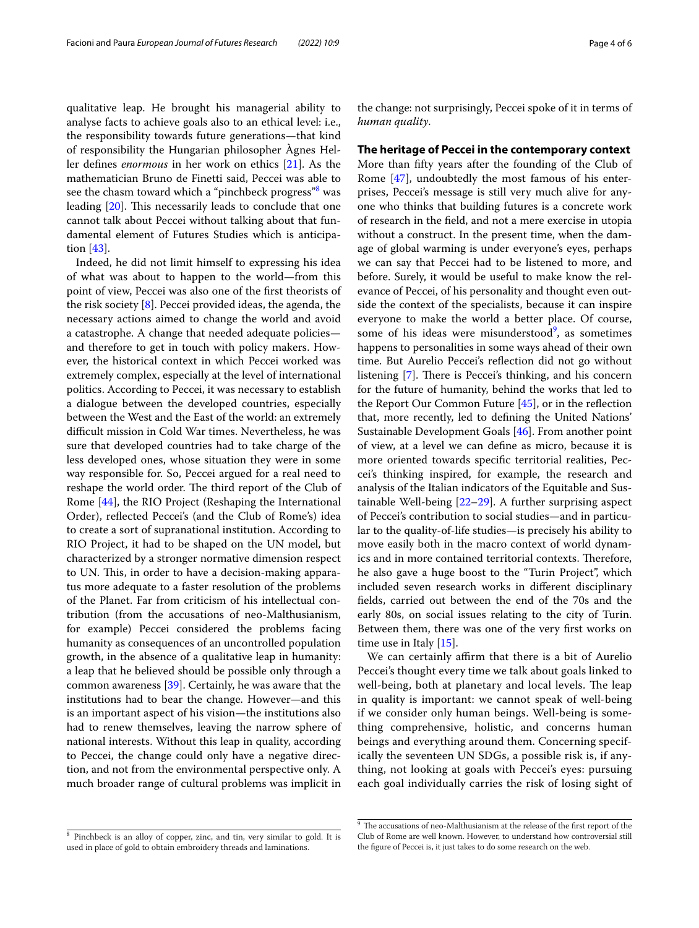qualitative leap. He brought his managerial ability to analyse facts to achieve goals also to an ethical level: i.e., the responsibility towards future generations—that kind of responsibility the Hungarian philosopher Àgnes Heller defnes *enormous* in her work on ethics [\[21](#page-5-15)]. As the mathematician Bruno de Finetti said, Peccei was able to see the chasm toward which a "pinchbeck progress" $8$  was leading [[20\]](#page-5-16). This necessarily leads to conclude that one cannot talk about Peccei without talking about that fundamental element of Futures Studies which is anticipation [[43\]](#page-5-17).

Indeed, he did not limit himself to expressing his idea of what was about to happen to the world—from this point of view, Peccei was also one of the frst theorists of the risk society [\[8](#page-4-9)]. Peccei provided ideas, the agenda, the necessary actions aimed to change the world and avoid a catastrophe. A change that needed adequate policies and therefore to get in touch with policy makers. However, the historical context in which Peccei worked was extremely complex, especially at the level of international politics. According to Peccei, it was necessary to establish a dialogue between the developed countries, especially between the West and the East of the world: an extremely difficult mission in Cold War times. Nevertheless, he was sure that developed countries had to take charge of the less developed ones, whose situation they were in some way responsible for. So, Peccei argued for a real need to reshape the world order. The third report of the Club of Rome [[44](#page-5-18)], the RIO Project (Reshaping the International Order), refected Peccei's (and the Club of Rome's) idea to create a sort of supranational institution. According to RIO Project, it had to be shaped on the UN model, but characterized by a stronger normative dimension respect to UN. This, in order to have a decision-making apparatus more adequate to a faster resolution of the problems of the Planet. Far from criticism of his intellectual contribution (from the accusations of neo-Malthusianism, for example) Peccei considered the problems facing humanity as consequences of an uncontrolled population growth, in the absence of a qualitative leap in humanity: a leap that he believed should be possible only through a common awareness [[39\]](#page-5-0). Certainly, he was aware that the institutions had to bear the change. However—and this is an important aspect of his vision—the institutions also had to renew themselves, leaving the narrow sphere of national interests. Without this leap in quality, according to Peccei, the change could only have a negative direction, and not from the environmental perspective only. A much broader range of cultural problems was implicit in the change: not surprisingly, Peccei spoke of it in terms of *human quality*.

## **The heritage of Peccei in the contemporary context**

More than ffty years after the founding of the Club of Rome [[47\]](#page-5-19), undoubtedly the most famous of his enterprises, Peccei's message is still very much alive for anyone who thinks that building futures is a concrete work of research in the feld, and not a mere exercise in utopia without a construct. In the present time, when the damage of global warming is under everyone's eyes, perhaps we can say that Peccei had to be listened to more, and before. Surely, it would be useful to make know the relevance of Peccei, of his personality and thought even outside the context of the specialists, because it can inspire everyone to make the world a better place. Of course, some of his ideas were misunderstood<sup>9</sup>, as sometimes happens to personalities in some ways ahead of their own time. But Aurelio Peccei's refection did not go without listening [\[7](#page-4-8)]. There is Peccei's thinking, and his concern for the future of humanity, behind the works that led to the Report Our Common Future  $[45]$  $[45]$ , or in the reflection that, more recently, led to defning the United Nations' Sustainable Development Goals [\[46](#page-5-21)]. From another point of view, at a level we can defne as micro, because it is more oriented towards specifc territorial realities, Peccei's thinking inspired, for example, the research and analysis of the Italian indicators of the Equitable and Sustainable Well-being [\[22](#page-5-22)[–29](#page-5-23)]. A further surprising aspect of Peccei's contribution to social studies—and in particular to the quality-of-life studies—is precisely his ability to move easily both in the macro context of world dynamics and in more contained territorial contexts. Therefore, he also gave a huge boost to the "Turin Project", which included seven research works in diferent disciplinary felds, carried out between the end of the 70s and the early 80s, on social issues relating to the city of Turin. Between them, there was one of the very frst works on time use in Italy [\[15](#page-5-24)].

We can certainly affirm that there is a bit of Aurelio Peccei's thought every time we talk about goals linked to well-being, both at planetary and local levels. The leap in quality is important: we cannot speak of well-being if we consider only human beings. Well-being is something comprehensive, holistic, and concerns human beings and everything around them. Concerning specifically the seventeen UN SDGs, a possible risk is, if anything, not looking at goals with Peccei's eyes: pursuing each goal individually carries the risk of losing sight of

<span id="page-3-0"></span><sup>8</sup> Pinchbeck is an alloy of copper, zinc, and tin, very similar to gold. It is used in place of gold to obtain embroidery threads and laminations.

<span id="page-3-1"></span> $9$  The accusations of neo-Malthusianism at the release of the first report of the Club of Rome are well known. However, to understand how controversial still the fgure of Peccei is, it just takes to do some research on the web.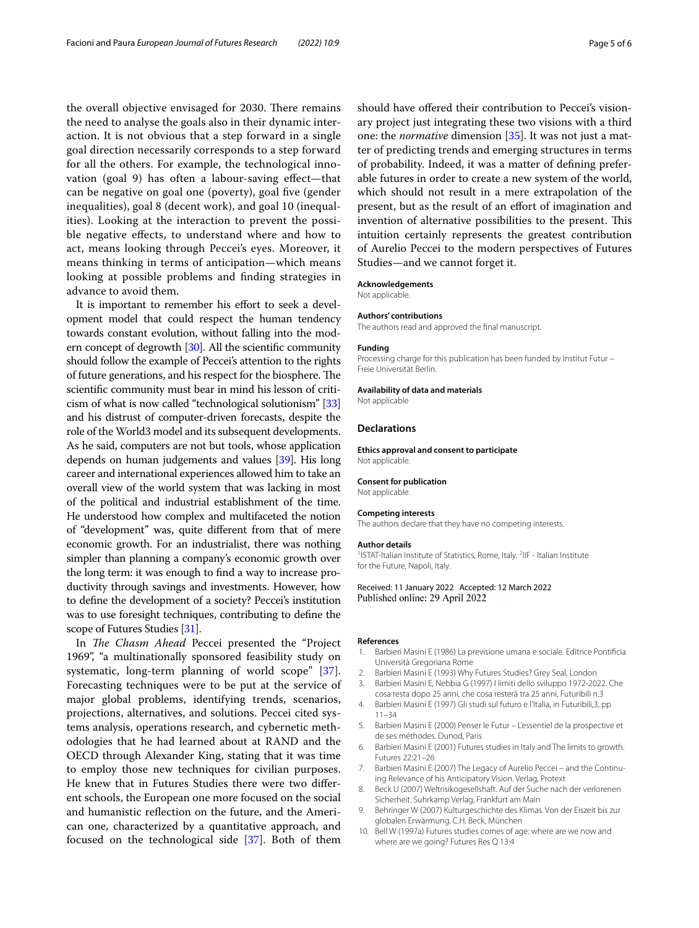the overall objective envisaged for 2030. There remains the need to analyse the goals also in their dynamic interaction. It is not obvious that a step forward in a single goal direction necessarily corresponds to a step forward for all the others. For example, the technological innovation (goal 9) has often a labour-saving efect—that can be negative on goal one (poverty), goal fve (gender inequalities), goal 8 (decent work), and goal 10 (inequalities). Looking at the interaction to prevent the possible negative efects, to understand where and how to act, means looking through Peccei's eyes. Moreover, it means thinking in terms of anticipation—which means looking at possible problems and fnding strategies in advance to avoid them.

It is important to remember his effort to seek a development model that could respect the human tendency towards constant evolution, without falling into the modern concept of degrowth [\[30\]](#page-5-25). All the scientifc community should follow the example of Peccei's attention to the rights of future generations, and his respect for the biosphere. The scientifc community must bear in mind his lesson of criticism of what is now called "technological solutionism" [[33](#page-5-26)] and his distrust of computer-driven forecasts, despite the role of the World3 model and its subsequent developments. As he said, computers are not but tools, whose application depends on human judgements and values [[39](#page-5-0)]. His long career and international experiences allowed him to take an overall view of the world system that was lacking in most of the political and industrial establishment of the time. He understood how complex and multifaceted the notion of "development" was, quite diferent from that of mere economic growth. For an industrialist, there was nothing simpler than planning a company's economic growth over the long term: it was enough to fnd a way to increase productivity through savings and investments. However, how to defne the development of a society? Peccei's institution was to use foresight techniques, contributing to defne the scope of Futures Studies [\[31\]](#page-5-27).

In *The Chasm Ahead* Peccei presented the "Project" 1969", "a multinationally sponsored feasibility study on systematic, long-term planning of world scope" [\[37](#page-5-28)]. Forecasting techniques were to be put at the service of major global problems, identifying trends, scenarios, projections, alternatives, and solutions. Peccei cited systems analysis, operations research, and cybernetic methodologies that he had learned about at RAND and the OECD through Alexander King, stating that it was time to employ those new techniques for civilian purposes. He knew that in Futures Studies there were two diferent schools, the European one more focused on the social and humanistic refection on the future, and the American one, characterized by a quantitative approach, and focused on the technological side [\[37](#page-5-28)]. Both of them should have offered their contribution to Peccei's visionary project just integrating these two visions with a third one: the *normative* dimension [[35](#page-5-29)]. It was not just a matter of predicting trends and emerging structures in terms of probability. Indeed, it was a matter of defning preferable futures in order to create a new system of the world, which should not result in a mere extrapolation of the present, but as the result of an efort of imagination and invention of alternative possibilities to the present. This intuition certainly represents the greatest contribution of Aurelio Peccei to the modern perspectives of Futures Studies—and we cannot forget it.

## **Acknowledgements**

Not applicable.

#### **Authors' contributions**

The authors read and approved the fnal manuscript.

#### **Funding**

Processing charge for this publication has been funded by Institut Futur – Freie Universität Berlin.

## **Availability of data and materials**

Not applicable

### **Declarations**

**Ethics approval and consent to participate** Not applicable.

#### **Consent for publication**

Not applicable.

## **Competing interests**

The authors declare that they have no competing interests.

#### **Author details**

<sup>1</sup> ISTAT-Italian Institute of Statistics, Rome, Italy. <sup>2</sup>IIF - Italian Institute for the Future, Napoli, Italy.

Received: 11 January 2022 Accepted: 12 March 2022 Published online: 29 April 2022

#### **References**

- <span id="page-4-0"></span>Barbieri Masini E (1986) La previsione umana e sociale. Editrice Pontificia Università Gregoriana Rome
- <span id="page-4-1"></span>2. Barbieri Masini E (1993) Why Futures Studies? Grey Seal, London
- <span id="page-4-3"></span>3. Barbieri Masini E, Nebbia G (1997) I limiti dello sviluppo 1972-2022. Che cosa resta dopo 25 anni, che cosa resterà tra 25 anni, Futuribili n.3
- <span id="page-4-6"></span>4. Barbieri Masini E (1997) Gli studi sul futuro e l'Italia, in Futuribili,3, pp 11–34
- <span id="page-4-2"></span>5. Barbieri Masini E (2000) Penser le Futur – L'essentiel de la prospective et de ses méthodes. Dunod, Paris
- <span id="page-4-7"></span>6. Barbieri Masini E (2001) Futures studies in Italy and The limits to growth. Futures 22:21–26
- <span id="page-4-8"></span>7. Barbieri Masini E (2007) The Legacy of Aurelio Peccei – and the Continuing Relevance of his Anticipatory Vision. Verlag, Protext
- <span id="page-4-9"></span>8. Beck U (2007) Weltrisikogesellshaft. Auf der Suche nach der verlorenen Sicherheit. Suhrkamp Verlag, Frankfurt am Main
- <span id="page-4-5"></span>9. Behringer W (2007) Kulturgeschichte des Klimas. Von der Eiszeit bis zur globalen Erwärmung. C.H. Beck, München
- <span id="page-4-4"></span>10. Bell W (1997a) Futures studies comes of age: where are we now and where are we going? Futures Res Q 13:4